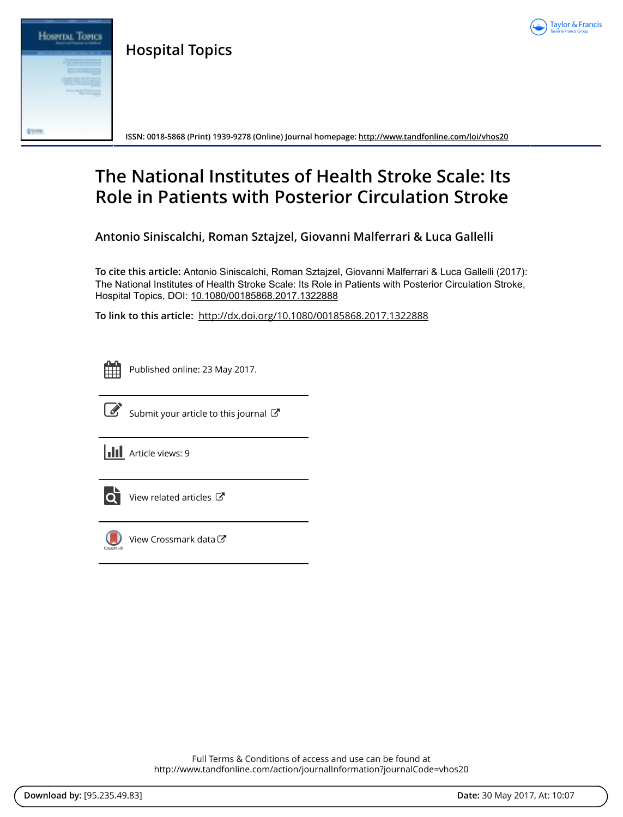

**Hospital Topics**



**ISSN: 0018-5868 (Print) 1939-9278 (Online) Journal homepage:<http://www.tandfonline.com/loi/vhos20>**

# **The National Institutes of Health Stroke Scale: Its Role in Patients with Posterior Circulation Stroke**

**Antonio Siniscalchi, Roman Sztajzel, Giovanni Malferrari & Luca Gallelli**

**To cite this article:** Antonio Siniscalchi, Roman Sztajzel, Giovanni Malferrari & Luca Gallelli (2017): The National Institutes of Health Stroke Scale: Its Role in Patients with Posterior Circulation Stroke, Hospital Topics, DOI: [10.1080/00185868.2017.1322888](http://www.tandfonline.com/action/showCitFormats?doi=10.1080/00185868.2017.1322888)

**To link to this article:** <http://dx.doi.org/10.1080/00185868.2017.1322888>

|  | -- |  |
|--|----|--|
|  |    |  |
|  |    |  |
|  |    |  |

Published online: 23 May 2017.



 $\overrightarrow{S}$  [Submit your article to this journal](http://www.tandfonline.com/action/authorSubmission?journalCode=vhos20&show=instructions)  $\overrightarrow{S}$ 

**III** Article views: 9



[View related articles](http://www.tandfonline.com/doi/mlt/10.1080/00185868.2017.1322888) C



[View Crossmark data](http://crossmark.crossref.org/dialog/?doi=10.1080/00185868.2017.1322888&domain=pdf&date_stamp=2017-05-23)

Full Terms & Conditions of access and use can be found at <http://www.tandfonline.com/action/journalInformation?journalCode=vhos20>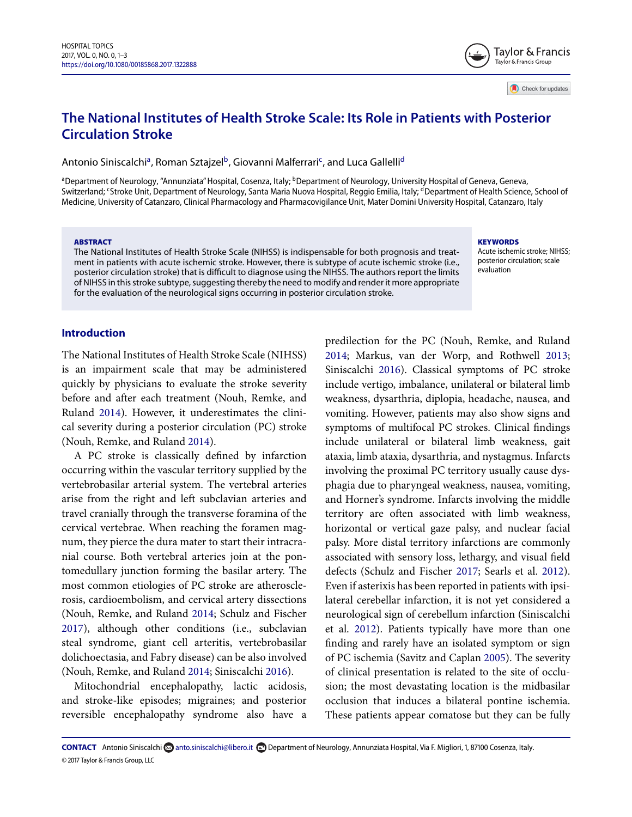# **The National Institutes of Health Stroke Scale: Its Role in Patients with Posterior Circulation Stroke**

Antonio Siniscalchi<sup>a</sup>, Roman Sztajzel<sup>b</sup>, Giovanni Malferrari<sup>c</sup>, and Luca Gallelli<sup>d</sup>

<span id="page-1-2"></span><span id="page-1-0"></span><sup>a</sup>Department of Neurology, "Annunziata" Hospital, Cosenza, Italy; <sup>b</sup>Department of Neurology, University Hospital of Geneva, Geneva, Switzerland; <sup>c</sup>Stroke Unit, Department of Neurology, Santa Maria Nuova Hospital, Reggio Emilia, Italy; <sup>d</sup>Department of Health Science, School of Medicine, University of Catanzaro, Clinical Pharmacology and Pharmacovigilance Unit, Mater Domini University Hospital, Catanzaro, Italy

#### **ABSTRACT**

The National Institutes of Health Stroke Scale (NIHSS) is indispensable for both prognosis and treatment in patients with acute ischemic stroke. However, there is subtype of acute ischemic stroke (i.e., posterior circulation stroke) that is difficult to diagnose using the NIHSS. The authors report the limits of NIHSS in this stroke subtype, suggesting thereby the need to modify and render it more appropriate for the evaluation of the neurological signs occurring in posterior circulation stroke.

#### <span id="page-1-3"></span>**KEYWORDS**

Acute ischemic stroke; NIHSS; posterior circulation; scale evaluation

Taylor & Francis Taylor & Francis Group

Check for updates

### **Introduction**

The National Institutes of Health Stroke Scale (NIHSS) is an impairment scale that may be administered quickly by physicians to evaluate the stroke severity before and after each treatment (Nouh, Remke, and Ruland [2014\)](#page-3-0). However, it underestimates the clinical severity during a posterior circulation (PC) stroke (Nouh, Remke, and Ruland [2014\)](#page-3-0).

A PC stroke is classically defined by infarction occurring within the vascular territory supplied by the vertebrobasilar arterial system. The vertebral arteries arise from the right and left subclavian arteries and travel cranially through the transverse foramina of the cervical vertebrae. When reaching the foramen magnum, they pierce the dura mater to start their intracranial course. Both vertebral arteries join at the pontomedullary junction forming the basilar artery. The most common etiologies of PC stroke are atherosclerosis, cardioembolism, and cervical artery dissections (Nouh, Remke, and Ruland [2014;](#page-3-0) Schulz and Fischer [2017\)](#page-3-1), although other conditions (i.e., subclavian steal syndrome, giant cell arteritis, vertebrobasilar dolichoectasia, and Fabry disease) can be also involved (Nouh, Remke, and Ruland [2014;](#page-3-0) Siniscalchi [2016\)](#page-3-2).

Mitochondrial encephalopathy, lactic acidosis, and stroke-like episodes; migraines; and posterior reversible encephalopathy syndrome also have a

<span id="page-1-1"></span>predilection for the PC (Nouh, Remke, and Ruland [2014;](#page-3-0) Markus, van der Worp, and Rothwell [2013;](#page-3-3) Siniscalchi [2016\)](#page-3-2). Classical symptoms of PC stroke include vertigo, imbalance, unilateral or bilateral limb weakness, dysarthria, diplopia, headache, nausea, and vomiting. However, patients may also show signs and symptoms of multifocal PC strokes. Clinical findings include unilateral or bilateral limb weakness, gait ataxia, limb ataxia, dysarthria, and nystagmus. Infarcts involving the proximal PC territory usually cause dysphagia due to pharyngeal weakness, nausea, vomiting, and Horner's syndrome. Infarcts involving the middle territory are often associated with limb weakness, horizontal or vertical gaze palsy, and nuclear facial palsy. More distal territory infarctions are commonly associated with sensory loss, lethargy, and visual field defects (Schulz and Fischer [2017;](#page-3-1) Searls et al. [2012\)](#page-3-4). Even if asterixis has been reported in patients with ipsilateral cerebellar infarction, it is not yet considered a neurological sign of cerebellum infarction (Siniscalchi et al. [2012\)](#page-3-5). Patients typically have more than one finding and rarely have an isolated symptom or sign of PC ischemia (Savitz and Caplan [2005\)](#page-3-6). The severity of clinical presentation is related to the site of occlusion; the most devastating location is the midbasilar occlusion that induces a bilateral pontine ischemia. These patients appear comatose but they can be fully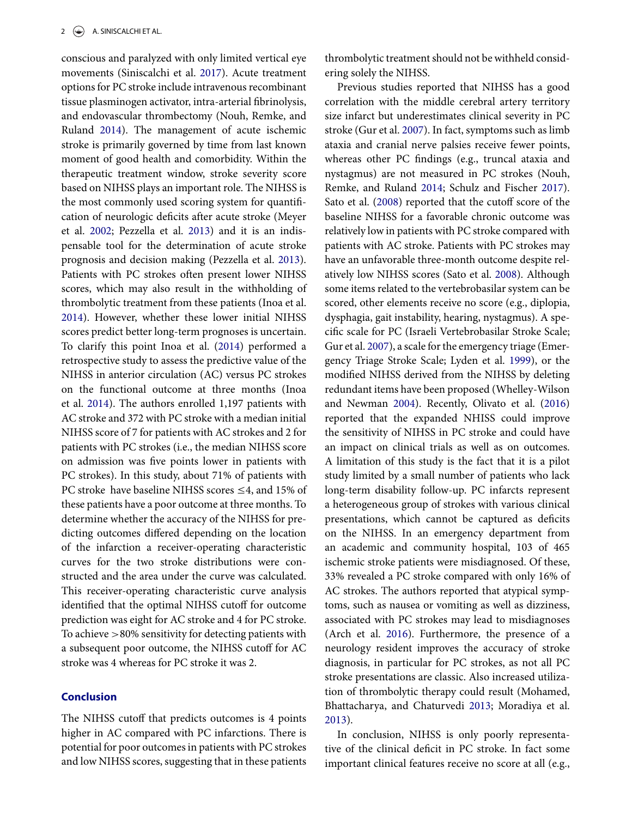conscious and paralyzed with only limited vertical eye movements (Siniscalchi et al. [2017\)](#page-3-7). Acute treatment options for PC stroke include intravenous recombinant tissue plasminogen activator, intra-arterial fibrinolysis, and endovascular thrombectomy (Nouh, Remke, and Ruland [2014\)](#page-3-0). The management of acute ischemic stroke is primarily governed by time from last known moment of good health and comorbidity. Within the therapeutic treatment window, stroke severity score based on NIHSS plays an important role. The NIHSS is the most commonly used scoring system for quantification of neurologic deficits after acute stroke (Meyer et al. [2002;](#page-3-8) Pezzella et al. [2013\)](#page-3-9) and it is an indispensable tool for the determination of acute stroke prognosis and decision making (Pezzella et al. [2013\)](#page-3-9). Patients with PC strokes often present lower NIHSS scores, which may also result in the withholding of thrombolytic treatment from these patients (Inoa et al. [2014\)](#page-3-10). However, whether these lower initial NIHSS scores predict better long-term prognoses is uncertain. To clarify this point Inoa et al. [\(2014\)](#page-3-10) performed a retrospective study to assess the predictive value of the NIHSS in anterior circulation (AC) versus PC strokes on the functional outcome at three months (Inoa et al. [2014\)](#page-3-10). The authors enrolled 1,197 patients with AC stroke and 372 with PC stroke with a median initial NIHSS score of 7 for patients with AC strokes and 2 for patients with PC strokes (i.e., the median NIHSS score on admission was five points lower in patients with PC strokes). In this study, about 71% of patients with PC stroke have baseline NIHSS scores  $\leq$ 4, and 15% of these patients have a poor outcome at three months. To determine whether the accuracy of the NIHSS for predicting outcomes differed depending on the location of the infarction a receiver-operating characteristic curves for the two stroke distributions were constructed and the area under the curve was calculated. This receiver-operating characteristic curve analysis identified that the optimal NIHSS cutoff for outcome prediction was eight for AC stroke and 4 for PC stroke. To achieve *>*80% sensitivity for detecting patients with a subsequent poor outcome, the NIHSS cutoff for AC stroke was 4 whereas for PC stroke it was 2.

## **Conclusion**

The NIHSS cutoff that predicts outcomes is 4 points higher in AC compared with PC infarctions. There is potential for poor outcomes in patients with PC strokes and low NIHSS scores, suggesting that in these patients thrombolytic treatment should not be withheld considering solely the NIHSS.

Previous studies reported that NIHSS has a good correlation with the middle cerebral artery territory size infarct but underestimates clinical severity in PC stroke (Gur et al. [2007\)](#page-3-11). In fact, symptoms such as limb ataxia and cranial nerve palsies receive fewer points, whereas other PC findings (e.g., truncal ataxia and nystagmus) are not measured in PC strokes (Nouh, Remke, and Ruland [2014;](#page-3-0) Schulz and Fischer [2017\)](#page-3-1). Sato et al. [\(2008\)](#page-3-12) reported that the cutoff score of the baseline NIHSS for a favorable chronic outcome was relatively low in patients with PC stroke compared with patients with AC stroke. Patients with PC strokes may have an unfavorable three-month outcome despite relatively low NIHSS scores (Sato et al. [2008\)](#page-3-12). Although some items related to the vertebrobasilar system can be scored, other elements receive no score (e.g., diplopia, dysphagia, gait instability, hearing, nystagmus). A specific scale for PC (Israeli Vertebrobasilar Stroke Scale; Gur et al. [2007\)](#page-3-11), a scale for the emergency triage (Emergency Triage Stroke Scale; Lyden et al. [1999\)](#page-3-13), or the modified NIHSS derived from the NIHSS by deleting redundant items have been proposed (Whelley-Wilson and Newman [2004\)](#page-3-14). Recently, Olivato et al. [\(2016\)](#page-3-15) reported that the expanded NHISS could improve the sensitivity of NIHSS in PC stroke and could have an impact on clinical trials as well as on outcomes. A limitation of this study is the fact that it is a pilot study limited by a small number of patients who lack long-term disability follow-up. PC infarcts represent a heterogeneous group of strokes with various clinical presentations, which cannot be captured as deficits on the NIHSS. In an emergency department from an academic and community hospital, 103 of 465 ischemic stroke patients were misdiagnosed. Of these, 33% revealed a PC stroke compared with only 16% of AC strokes. The authors reported that atypical symptoms, such as nausea or vomiting as well as dizziness, associated with PC strokes may lead to misdiagnoses (Arch et al. [2016\)](#page-3-16). Furthermore, the presence of a neurology resident improves the accuracy of stroke diagnosis, in particular for PC strokes, as not all PC stroke presentations are classic. Also increased utilization of thrombolytic therapy could result (Mohamed, Bhattacharya, and Chaturvedi [2013;](#page-3-17) Moradiya et al. [2013\)](#page-3-18).

In conclusion, NIHSS is only poorly representative of the clinical deficit in PC stroke. In fact some important clinical features receive no score at all (e.g.,